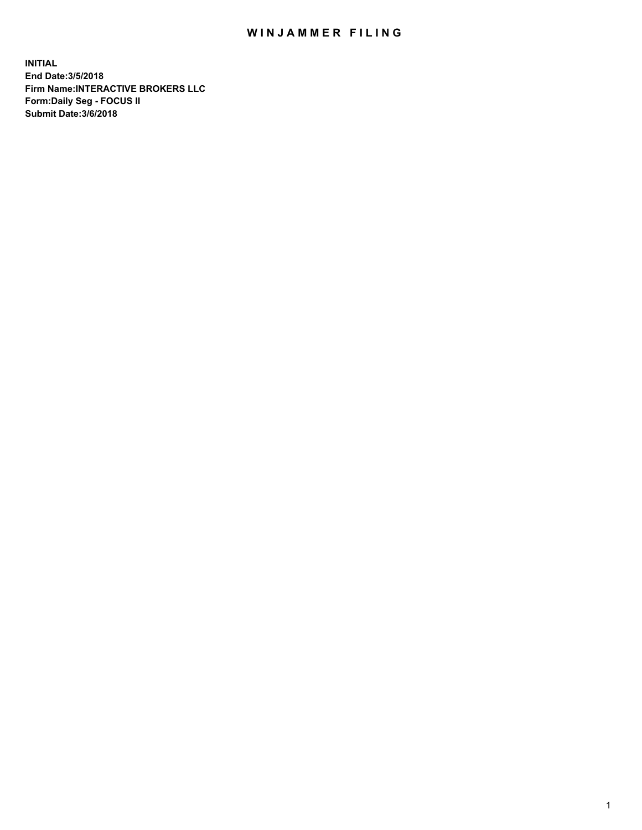## WIN JAMMER FILING

**INITIAL End Date:3/5/2018 Firm Name:INTERACTIVE BROKERS LLC Form:Daily Seg - FOCUS II Submit Date:3/6/2018**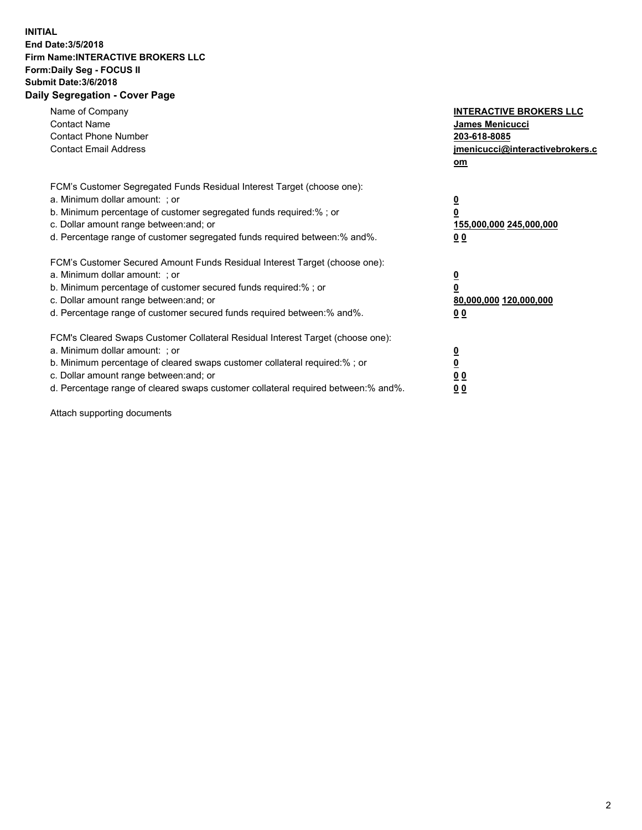## **INITIAL End Date:3/5/2018 Firm Name:INTERACTIVE BROKERS LLC Form:Daily Seg - FOCUS II Submit Date:3/6/2018 Daily Segregation - Cover Page**

| Name of Company<br><b>Contact Name</b><br><b>Contact Phone Number</b><br><b>Contact Email Address</b>                                                                                                                                                                                                                          | <b>INTERACTIVE BROKERS LLC</b><br>James Menicucci<br>203-618-8085<br>jmenicucci@interactivebrokers.c<br>om |
|--------------------------------------------------------------------------------------------------------------------------------------------------------------------------------------------------------------------------------------------------------------------------------------------------------------------------------|------------------------------------------------------------------------------------------------------------|
| FCM's Customer Segregated Funds Residual Interest Target (choose one):<br>a. Minimum dollar amount: ; or<br>b. Minimum percentage of customer segregated funds required:%; or<br>c. Dollar amount range between: and; or<br>d. Percentage range of customer segregated funds required between:% and%.                          | $\overline{\mathbf{0}}$<br>$\overline{\mathbf{0}}$<br>155,000,000 245,000,000<br>00                        |
| FCM's Customer Secured Amount Funds Residual Interest Target (choose one):<br>a. Minimum dollar amount: ; or<br>b. Minimum percentage of customer secured funds required:%; or<br>c. Dollar amount range between: and; or<br>d. Percentage range of customer secured funds required between: % and %.                          | $\overline{\mathbf{0}}$<br>$\mathbf 0$<br>80,000,000 120,000,000<br>00                                     |
| FCM's Cleared Swaps Customer Collateral Residual Interest Target (choose one):<br>a. Minimum dollar amount: ; or<br>b. Minimum percentage of cleared swaps customer collateral required:% ; or<br>c. Dollar amount range between: and; or<br>d. Percentage range of cleared swaps customer collateral required between:% and%. | $\overline{\mathbf{0}}$<br>$\underline{\mathbf{0}}$<br>0 <sub>0</sub><br>0 <sub>0</sub>                    |

Attach supporting documents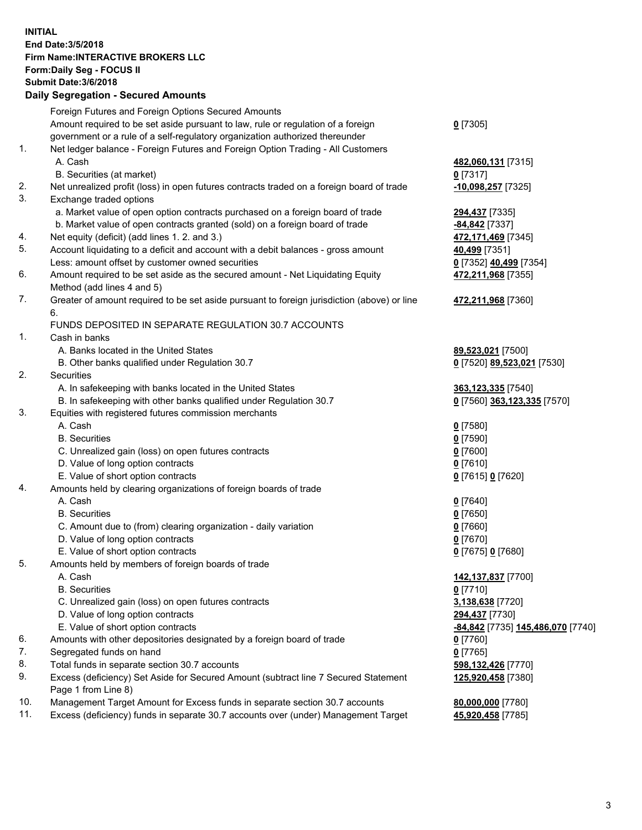## **INITIAL End Date:3/5/2018 Firm Name:INTERACTIVE BROKERS LLC Form:Daily Seg - FOCUS II Submit Date:3/6/2018 Daily Segregation - Secured Amounts**

|     | Foreign Futures and Foreign Options Secured Amounts                                         |                                   |
|-----|---------------------------------------------------------------------------------------------|-----------------------------------|
|     | Amount required to be set aside pursuant to law, rule or regulation of a foreign            | $0$ [7305]                        |
|     | government or a rule of a self-regulatory organization authorized thereunder                |                                   |
| 1.  | Net ledger balance - Foreign Futures and Foreign Option Trading - All Customers             |                                   |
|     | A. Cash                                                                                     | 482,060,131 [7315]                |
|     | B. Securities (at market)                                                                   | $0$ [7317]                        |
| 2.  | Net unrealized profit (loss) in open futures contracts traded on a foreign board of trade   | -10,098,257 [7325]                |
| 3.  | Exchange traded options                                                                     |                                   |
|     | a. Market value of open option contracts purchased on a foreign board of trade              | 294,437 [7335]                    |
|     | b. Market value of open contracts granted (sold) on a foreign board of trade                | -84,842 [7337]                    |
| 4.  | Net equity (deficit) (add lines 1.2. and 3.)                                                | 472,171,469 [7345]                |
| 5.  | Account liquidating to a deficit and account with a debit balances - gross amount           | 40,499 [7351]                     |
|     | Less: amount offset by customer owned securities                                            | 0 [7352] 40,499 [7354]            |
| 6.  | Amount required to be set aside as the secured amount - Net Liquidating Equity              | 472,211,968 [7355]                |
|     | Method (add lines 4 and 5)                                                                  |                                   |
| 7.  | Greater of amount required to be set aside pursuant to foreign jurisdiction (above) or line | 472,211,968 [7360]                |
|     | 6.                                                                                          |                                   |
|     | FUNDS DEPOSITED IN SEPARATE REGULATION 30.7 ACCOUNTS                                        |                                   |
| 1.  | Cash in banks                                                                               |                                   |
|     | A. Banks located in the United States                                                       | 89,523,021 [7500]                 |
|     | B. Other banks qualified under Regulation 30.7                                              | 0 [7520] 89,523,021 [7530]        |
| 2.  | Securities                                                                                  |                                   |
|     | A. In safekeeping with banks located in the United States                                   | 363,123,335 [7540]                |
|     | B. In safekeeping with other banks qualified under Regulation 30.7                          | 0 [7560] 363,123,335 [7570]       |
| 3.  | Equities with registered futures commission merchants                                       |                                   |
|     | A. Cash                                                                                     | $0$ [7580]                        |
|     | <b>B.</b> Securities                                                                        | $0$ [7590]                        |
|     | C. Unrealized gain (loss) on open futures contracts                                         | $0$ [7600]                        |
|     | D. Value of long option contracts                                                           | $0$ [7610]                        |
|     | E. Value of short option contracts                                                          | 0 [7615] 0 [7620]                 |
| 4.  | Amounts held by clearing organizations of foreign boards of trade                           |                                   |
|     | A. Cash                                                                                     | $0$ [7640]                        |
|     | <b>B.</b> Securities                                                                        | $0$ [7650]                        |
|     | C. Amount due to (from) clearing organization - daily variation                             | $0$ [7660]                        |
|     | D. Value of long option contracts                                                           | $0$ [7670]                        |
|     | E. Value of short option contracts                                                          | 0 [7675] 0 [7680]                 |
| 5.  | Amounts held by members of foreign boards of trade                                          |                                   |
|     | A. Cash                                                                                     | 142,137,837 [7700]                |
|     | <b>B.</b> Securities                                                                        | $0$ [7710]                        |
|     | C. Unrealized gain (loss) on open futures contracts                                         | 3,138,638 [7720]                  |
|     | D. Value of long option contracts                                                           | 294,437 [7730]                    |
|     | E. Value of short option contracts                                                          | -84,842 [7735] 145,486,070 [7740] |
| 6.  | Amounts with other depositories designated by a foreign board of trade                      | $0$ [7760]                        |
| 7.  | Segregated funds on hand                                                                    | $0$ [7765]                        |
| 8.  | Total funds in separate section 30.7 accounts                                               | 598,132,426 [7770]                |
| 9.  | Excess (deficiency) Set Aside for Secured Amount (subtract line 7 Secured Statement         | 125,920,458 [7380]                |
|     | Page 1 from Line 8)                                                                         |                                   |
| 10. | Management Target Amount for Excess funds in separate section 30.7 accounts                 | 80,000,000 [7780]                 |
| 11. | Excess (deficiency) funds in separate 30.7 accounts over (under) Management Target          | 45,920,458 [7785]                 |
|     |                                                                                             |                                   |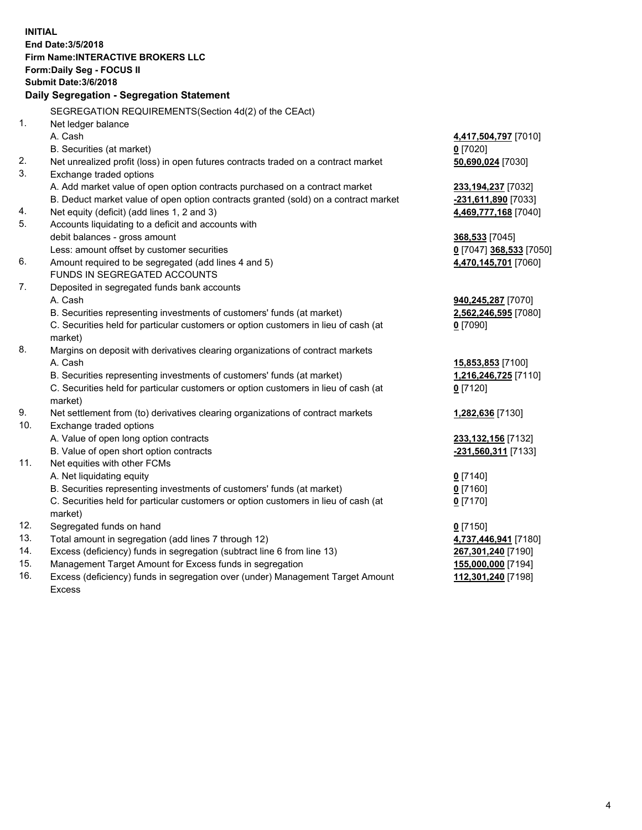**INITIAL End Date:3/5/2018 Firm Name:INTERACTIVE BROKERS LLC Form:Daily Seg - FOCUS II Submit Date:3/6/2018 Daily Segregation - Segregation Statement** SEGREGATION REQUIREMENTS(Section 4d(2) of the CEAct) 1. Net ledger balance A. Cash **4,417,504,797** [7010] B. Securities (at market) **0** [7020] 2. Net unrealized profit (loss) in open futures contracts traded on a contract market **50,690,024** [7030] 3. Exchange traded options A. Add market value of open option contracts purchased on a contract market **233,194,237** [7032] B. Deduct market value of open option contracts granted (sold) on a contract market **-231,611,890** [7033] 4. Net equity (deficit) (add lines 1, 2 and 3) **4,469,777,168** [7040] 5. Accounts liquidating to a deficit and accounts with debit balances - gross amount **368,533** [7045] Less: amount offset by customer securities **0** [7047] **368,533** [7050] 6. Amount required to be segregated (add lines 4 and 5) **4,470,145,701** [7060] FUNDS IN SEGREGATED ACCOUNTS 7. Deposited in segregated funds bank accounts A. Cash **940,245,287** [7070] B. Securities representing investments of customers' funds (at market) **2,562,246,595** [7080] C. Securities held for particular customers or option customers in lieu of cash (at market) **0** [7090] 8. Margins on deposit with derivatives clearing organizations of contract markets A. Cash **15,853,853** [7100] B. Securities representing investments of customers' funds (at market) **1,216,246,725** [7110] C. Securities held for particular customers or option customers in lieu of cash (at market) **0** [7120] 9. Net settlement from (to) derivatives clearing organizations of contract markets **1,282,636** [7130] 10. Exchange traded options A. Value of open long option contracts **233,132,156** [7132] B. Value of open short option contracts **-231,560,311** [7133] 11. Net equities with other FCMs A. Net liquidating equity **0** [7140] B. Securities representing investments of customers' funds (at market) **0** [7160] C. Securities held for particular customers or option customers in lieu of cash (at market) **0** [7170] 12. Segregated funds on hand **0** [7150] 13. Total amount in segregation (add lines 7 through 12) **4,737,446,941** [7180] 14. Excess (deficiency) funds in segregation (subtract line 6 from line 13) **267,301,240** [7190] 15. Management Target Amount for Excess funds in segregation **155,000,000** [7194] **112,301,240** [7198]

16. Excess (deficiency) funds in segregation over (under) Management Target Amount Excess